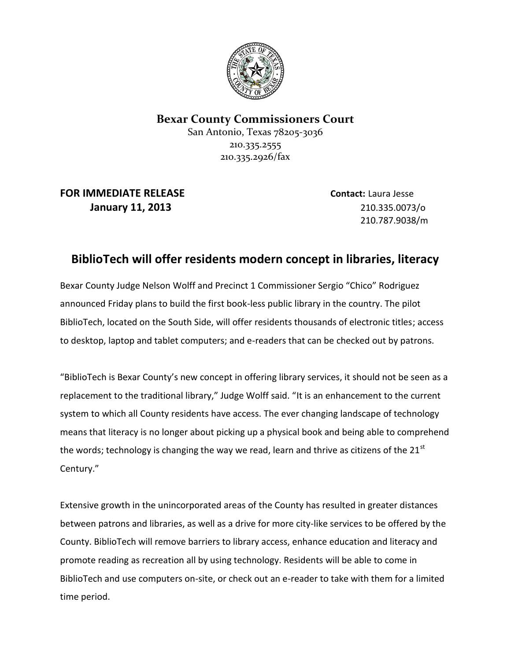

## **Bexar County Commissioners Court**

San Antonio, Texas 78205-3036 210.335.2555 210.335.2926/fax

**FOR IMMEDIATE RELEASE Contact:** Laura Jesse **January 11, 2013** 210.335.0073/o

210.787.9038/m

## **BiblioTech will offer residents modern concept in libraries, literacy**

Bexar County Judge Nelson Wolff and Precinct 1 Commissioner Sergio "Chico" Rodriguez announced Friday plans to build the first book-less public library in the country. The pilot BiblioTech, located on the South Side, will offer residents thousands of electronic titles; access to desktop, laptop and tablet computers; and e-readers that can be checked out by patrons.

"BiblioTech is Bexar County's new concept in offering library services, it should not be seen as a replacement to the traditional library," Judge Wolff said. "It is an enhancement to the current system to which all County residents have access. The ever changing landscape of technology means that literacy is no longer about picking up a physical book and being able to comprehend the words; technology is changing the way we read, learn and thrive as citizens of the  $21^{st}$ Century."

Extensive growth in the unincorporated areas of the County has resulted in greater distances between patrons and libraries, as well as a drive for more city-like services to be offered by the County. BiblioTech will remove barriers to library access, enhance education and literacy and promote reading as recreation all by using technology. Residents will be able to come in BiblioTech and use computers on-site, or check out an e-reader to take with them for a limited time period.